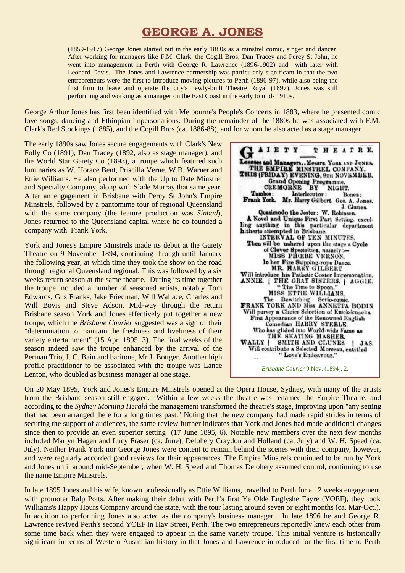# **GEORGE A. JONES**

(1859-1917) George Jones started out in the early 1880s as a minstrel comic, singer and dancer. After working for managers like F.M. Clark, the Cogill Bros, Dan Tracey and Percy St John, he went into management in Perth with George R. Lawrence (1896-1902) and with later with Leonard Davis. The Jones and Lawrence partnership was particularly significant in that the two entrepreneurs were the first to introduce moving pictures to Perth (1896-97), while also being the first firm to lease and operate the city's newly-built Theatre Royal (1897). Jones was still performing and working as a manager on the East Coast in the early to mid- 1910s.

George Arthur Jones has first been identified with Melbourne's People's Concerts in 1883, where he presented comic love songs, dancing and Ethiopian impersonations. During the remainder of the 1880s he was associated with F.M. Clark's Red Stockings (1885), and the Cogill Bros (ca. 1886-88), and for whom he also acted as a stage manager.

The early 1890s saw Jones secure engagements with Clark's New Folly Co (1891), Dan Tracey (1892, also as stage manager), and the World Star Gaiety Co (1893), a troupe which featured such luminaries as W. Horace Bent, Priscilla Verne, W.B. Warner and Ettie Williams. He also performed with the Up to Date Minstrel and Specialty Company, along with Slade Murray that same year. After an engagement in Brisbane with Percy St John's Empire Minstrels, followed by a pantomime tour of regional Queensland with the same company (the feature production was *Sinbad*), Jones returned to the Queensland capital where he co-founded a company with Frank York.

York and Jones's Empire Minstrels made its debut at the Gaiety Theatre on 9 November 1894, continuing through until January the following year, at which time they took the show on the road through regional Queensland regional. This was followed by a six weeks return season at the same theatre. During its time together the troupe included a number of seasoned artists, notably Tom Edwards, Gus Franks, Jake Friedman, Will Wallace, Charles and Will Bovis and Steve Adson. Mid-way through the return Brisbane season York and Jones effectively put together a new troupe, which the *Brisbane Courier* suggested was a sign of their "determination to maintain the freshness and liveliness of their variety entertainment" (15 Apr. 1895, 3). The final weeks of the season indeed saw the troupe enhanced by the arrival of the Perman Trio, J. C. Bain and baritone, Mr J. Bottger. Another high profile practitioner to be associated with the troupe was Lance Lenton, who doubled as business manager at one stage.



On 20 May 1895, York and Jones's Empire Minstrels opened at the Opera House, Sydney, with many of the artists from the Brisbane season still engaged. Within a few weeks the theatre was renamed the Empire Theatre, and according to the *Sydney Morning Herald* the management transformed the theatre's stage, improving upon "any setting that had been arranged there for a long times past." Noting that the new company had made rapid strides in terms of securing the support of audiences, the same review further indicates that York and Jones had made additional changes since then to provide an even superior setting (17 June 1895, 6). Notable new members over the next few months included Martyn Hagen and Lucy Fraser (ca. June), Delohery Craydon and Holland (ca. July) and W. H. Speed (ca. July). Neither Frank York nor George Jones were content to remain behind the scenes with their company, however, and were regularly accorded good reviews for their appearances. The Empire Minstrels continued to be run by York and Jones until around mid-September, when W. H. Speed and Thomas Delohery assumed control, continuing to use the name Empire Minstrels.

In late 1895 Jones and his wife, known professionally as Ettie Williams, travelled to Perth for a 12 weeks engagement with promoter Ralp Potts. After making their debut with Perth's first Ye Olde Englyshe Fayre (YOEF), they took Williams's Happy Hours Company around the state, with the tour lasting around seven or eight months (ca. Mar-Oct.). In addition to performing Jones also acted as the company's business manager. In late 1896 he and George R. Lawrence revived Perth's second YOEF in Hay Street, Perth. The two entrepreneurs reportedly knew each other from some time back when they were engaged to appear in the same variety troupe. This initial venture is historically significant in terms of Western Australian history in that Jones and Lawrence introduced for the first time to Perth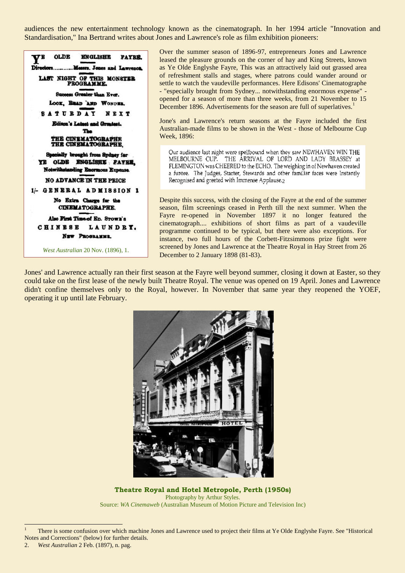audiences the new entertainment technology known as the cinematograph. In her 1994 article "Innovation and Standardisation," Ina Bertrand writes about Jones and Lawrence's role as film exhibition pioneers:



Over the summer season of 1896-97, entrepreneurs Jones and Lawrence leased the pleasure grounds on the corner of hay and King Streets, known as Ye Olde Englyshe Fayre, This was an attractively laid out grassed area of refreshment stalls and stages, where patrons could wander around or settle to watch the vaudeville performances. Here Edisons' Cinematographe - "especially brought from Sydney... notwithstanding enormous expense" opened for a season of more than three weeks, from 21 November to 15 December 1896. Advertisements for the season are full of superlatives.<sup>1</sup>

Jone's and Lawrence's return seasons at the Fayre included the first Australian-made films to be shown in the West - those of Melbourne Cup Week, 1896:

Our audience last night were spellbound when they saw NEWHAVEN WIN THE MELBOURNE CUP. THE ARRIVAL OF LORD AND LADY BRASSEY at FLEMINGTON was CHEERED to the ECHO. The weighing in of Newhaven created a furore. The Judges, Starter, Stewards and other familiar faces were Instantly Recognised and greeted with Immense Applause. $2$ 

Despite this success, with the closing of the Fayre at the end of the summer season, film screenings ceased in Perth till the next summer. When the Fayre re-opened in November 1897 it no longer featured the cinematograph.... exhibitions of short films as part of a vaudeville programme continued to be typical, but there were also exceptions. For instance, two full hours of the Corbett-Fitzsimmons prize fight were screened by Jones and Lawrence at the Theatre Royal in Hay Street from 26 December to 2 January 1898 (81-83).

Jones' and Lawrence actually ran their first season at the Fayre well beyond summer, closing it down at Easter, so they could take on the first lease of the newly built Theatre Royal. The venue was opened on 19 April. Jones and Lawrence didn't confine themselves only to the Royal, however. In November that same year they reopened the YOEF, operating it up until late February.



**Theatre Royal and Hotel Metropole, Perth (1950s)** Photography by Arthur Styles. Source: *WA Cinemaweb* (Australian Museum of Motion Picture and Television Inc)

 $\overline{a}$ 

<sup>1</sup> There is some confusion over which machine Jones and Lawrence used to project their films at Ye Olde Englyshe Fayre. See "Historical Notes and Corrections" (below) for further details.

<sup>2.</sup> *West Australian* 2 Feb. (1897), n. pag.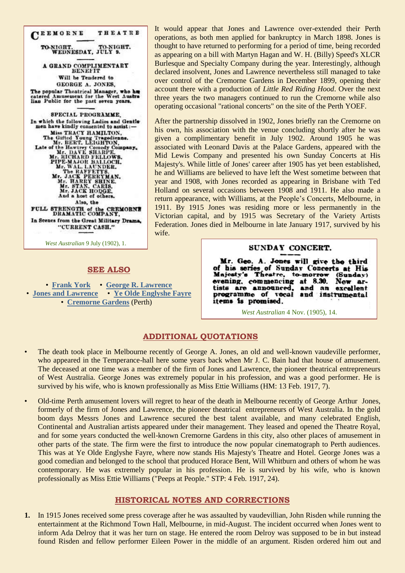CEEMORNE THEATRE TO-NIGHT. TO-NIGHT. WEDNESDAY, JULY 9. A GRAND COMPLIMENTARY Will be Tendered to GEORGE A. JONES. The popular Theatrical Manager, who has catered Amusement for the West Australian Public for the past seven years. SPECIAL PROGRAMME. In which the following Ladies and Gentle<br>men have kindly consented to assist:men have kindly consented to assist :—<br>
Miss TRACY HAMILTON,<br>
The Gifted Young Tragedienne.<br>
Mr. BERT, LEIGHTON,<br>
Late of the Hawtrey Comedy Company,<br>
Mr. RICHARD FELLOWS.<br>
Mr. RICHARD FELLOWS.<br>
PIPE-MAJOR BALLOCH.<br>
Mr. RI And a host of others. Also, the FULL STRENGTH of the CREMORNE<br>DRAMATIC COMPANY, In Scenes from the Great Military Drama, "CURRENT CASH."

*West Australian* 9 July (1902), 1.

### **SEE ALSO**

• **[Frank York](http://ozvta.com/practitioners-xyz/)** • **[George R. Lawrence](http://ozvta.com/entrepreneurs-g-l/)** • **[Jones and Lawrence](http://ozvta.com/organisations-a-l/)** • **[Ye Olde Englyshe Fayre](http://ozvta.com/industry-misc-m-z/)** • **[Cremorne Gardens](http://ozvta.com/theatres-a-f/)** (Perth)

It would appear that Jones and Lawrence over-extended their Perth operations, as both men applied for bankruptcy in March 1898. Jones is thought to have returned to performing for a period of time, being recorded as appearing on a bill with Martyn Hagan and W. H. (Billy) Speed's XLCR Burlesque and Specialty Company during the year. Interestingly, although declared insolvent, Jones and Lawrence nevertheless still managed to take over control of the Cremorne Gardens in December 1899, opening their account there with a production of *Little Red Riding Hood*. Over the next three years the two managers continued to run the Cremorne while also operating occasional "rational concerts" on the site of the Perth YOEF.

After the partnership dissolved in 1902, Jones briefly ran the Cremorne on his own, his association with the venue concluding shortly after he was given a complimentary benefit in July 1902. Around 1905 he was associated with Leonard Davis at the Palace Gardens, appeared with the Mid Lewis Company and presented his own Sunday Concerts at His Majesty's. While little of Jones' career after 1905 has yet been established, he and Williams are believed to have left the West sometime between that year and 1908, with Jones recorded as appearing in Brisbane with Ted Holland on several occasions between 1908 and 1911. He also made a return appearance, with Williams, at the People's Concerts, Melbourne, in 1911. By 1915 Jones was residing more or less permanently in the Victorian capital, and by 1915 was Secretary of the Variety Artists Federation. Jones died in Melbourne in late January 1917, survived by his wife.

## SUNDAY CONCERT.

Mr. Geo. A. Jones will give the third of his series of Sunday Concerts at His<br>Majesty's Theatre, to-morrow (Sunday) (Sunday)<br>New arevening, commencing at 8.30. tists are announced. and an excellent programme of vocal and instrumental items is promised.

*West Australian* 4 Nov. (1905), 14.

## **ADDITIONAL QUOTATIONS**

- The death took place in Melbourne recently of George A. Jones, an old and well-known vaudeville performer, who appeared in the Temperance-hall here some years back when Mr J. C. Bain had that house of amusement. The deceased at one time was a member of the firm of Jones and Lawrence, the pioneer theatrical entrepreneurs of West Australia. George Jones was extremely popular in his profession, and was a good performer. He is survived by his wife, who is known professionally as Miss Ettie Williams (HM: 13 Feb. 1917, 7).
- Old-time Perth amusement lovers will regret to hear of the death in Melbourne recently of George Arthur Jones, formerly of the firm of Jones and Lawrence, the pioneer theatrical entrepreneurs of West Australia. In the gold boom days Messrs Jones and Lawrence secured the best talent available, and many celebrated English, Continental and Australian artists appeared under their management. They leased and opened the Theatre Royal, and for some years conducted the well-known Cremorne Gardens in this city, also other places of amusement in other parts of the state. The firm were the first to introduce the now popular cinematograph to Perth audiences. This was at Ye Olde Englyshe Fayre, where now stands His Majesty's Theatre and Hotel. George Jones was a good comedian and belonged to the school that produced Horace Bent, Will Whitburn and others of whom he was contemporary. He was extremely popular in his profession. He is survived by his wife, who is known professionally as Miss Ettie Williams ("Peeps at People." STP: 4 Feb. 1917, 24).

#### **HISTORICAL NOTES AND CORRECTIONS**

**1.** In 1915 Jones received some press coverage after he was assaulted by vaudevillian, John Risden while running the entertainment at the Richmond Town Hall, Melbourne, in mid-August. The incident occurred when Jones went to inform Ada Delroy that it was her turn on stage. He entered the room Delroy was supposed to be in but instead found Risden and fellow performer Eileen Power in the middle of an argument. Risden ordered him out and